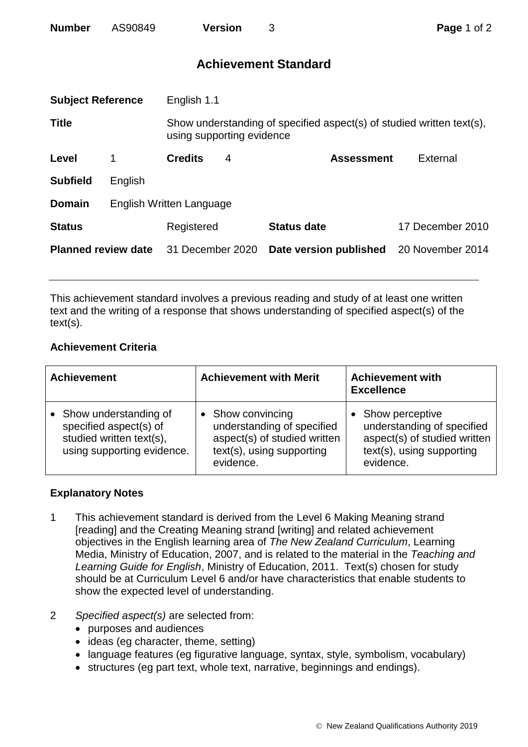| <b>Number</b> | AS90849 | <b>Version</b> |  |
|---------------|---------|----------------|--|
|               |         |                |  |

## **Achievement Standard**

| <b>Subject Reference</b>   |                          | English 1.1                                                                                        |   |                        |                  |  |
|----------------------------|--------------------------|----------------------------------------------------------------------------------------------------|---|------------------------|------------------|--|
| <b>Title</b>               |                          | Show understanding of specified aspect(s) of studied written text(s),<br>using supporting evidence |   |                        |                  |  |
| Level                      | 1                        | <b>Credits</b>                                                                                     | 4 | <b>Assessment</b>      | External         |  |
| <b>Subfield</b>            | English                  |                                                                                                    |   |                        |                  |  |
| <b>Domain</b>              | English Written Language |                                                                                                    |   |                        |                  |  |
| <b>Status</b>              |                          | Registered                                                                                         |   | <b>Status date</b>     | 17 December 2010 |  |
| <b>Planned review date</b> |                          | 31 December 2020                                                                                   |   | Date version published | 20 November 2014 |  |
|                            |                          |                                                                                                    |   |                        |                  |  |

This achievement standard involves a previous reading and study of at least one written text and the writing of a response that shows understanding of specified aspect(s) of the text(s).

## **Achievement Criteria**

| <b>Achievement</b>                                                                                        | <b>Achievement with Merit</b>                                                                                             | <b>Achievement with</b><br><b>Excellence</b>                                                                            |  |
|-----------------------------------------------------------------------------------------------------------|---------------------------------------------------------------------------------------------------------------------------|-------------------------------------------------------------------------------------------------------------------------|--|
| Show understanding of<br>specified aspect(s) of<br>studied written text(s),<br>using supporting evidence. | • Show convincing<br>understanding of specified<br>aspect(s) of studied written<br>text(s), using supporting<br>evidence. | Show perceptive<br>understanding of specified<br>aspect(s) of studied written<br>text(s), using supporting<br>evidence. |  |

## **Explanatory Notes**

- 1 This achievement standard is derived from the Level 6 Making Meaning strand [reading] and the Creating Meaning strand [writing] and related achievement objectives in the English learning area of *The New Zealand Curriculum*, Learning Media, Ministry of Education, 2007, and is related to the material in the *Teaching and Learning Guide for English*, Ministry of Education, 2011. Text(s) chosen for study should be at Curriculum Level 6 and/or have characteristics that enable students to show the expected level of understanding.
- 2 *Specified aspect(s)* are selected from:
	- purposes and audiences
	- ideas (eg character, theme, setting)
	- language features (eg figurative language, syntax, style, symbolism, vocabulary)
	- structures (eg part text, whole text, narrative, beginnings and endings).